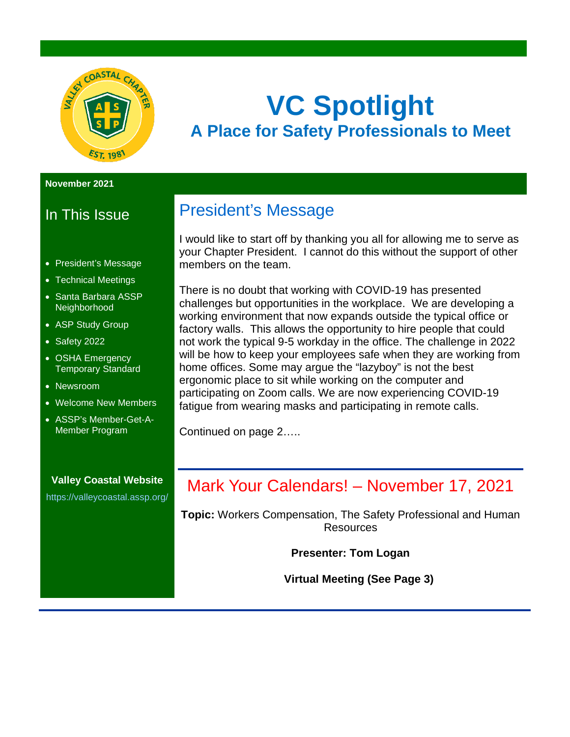

## **VC Spotlight A Place for Safety Professionals to Meet**

#### **November 2021**

## In This Issue

- President's Message
- Technical Meetings
- Santa Barbara ASSP Neighborhood
- ASP Study Group
- Safety 2022
- OSHA Emergency Temporary Standard
- Newsroom
- Welcome New Members
- ASSP's Member-Get-A-Member Program

#### **Valley Coastal Website** <https://valleycoastal.assp.org/>

## President's Message

I would like to start off by thanking you all for allowing me to serve as your Chapter President. I cannot do this without the support of other members on the team.

There is no doubt that working with COVID-19 has presented challenges but opportunities in the workplace. We are developing a working environment that now expands outside the typical office or factory walls. This allows the opportunity to hire people that could not work the typical 9-5 workday in the office. The challenge in 2022 will be how to keep your employees safe when they are working from home offices. Some may argue the "lazyboy" is not the best ergonomic place to sit while working on the computer and participating on Zoom calls. We are now experiencing COVID-19 fatigue from wearing masks and participating in remote calls.

Continued on page 2…..

## Mark Your Calendars! – November 17, 2021

**Topic:** Workers Compensation, The Safety Professional and Human **Resources** 

**Presenter: Tom Logan**

**Virtual Meeting (See Page 3)**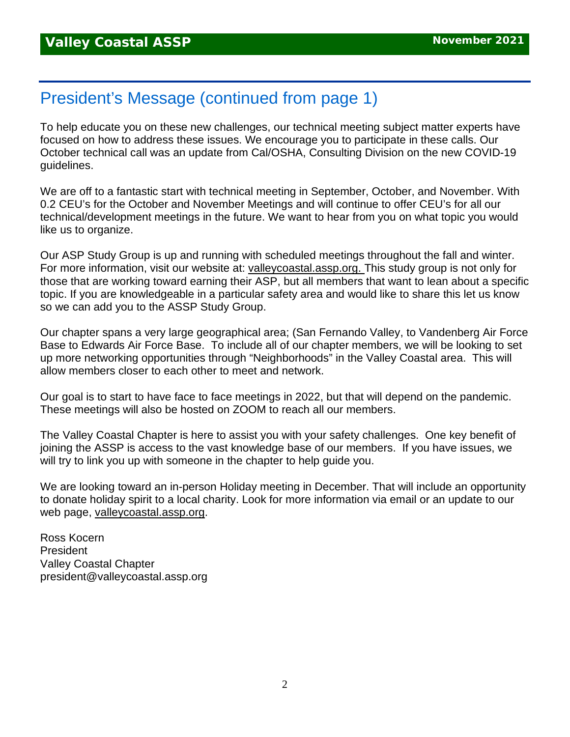## President's Message (continued from page 1)

To help educate you on these new challenges, our technical meeting subject matter experts have focused on how to address these issues. We encourage you to participate in these calls. Our October technical call was an update from Cal/OSHA, Consulting Division on the new COVID-19 guidelines.

We are off to a fantastic start with technical meeting in September, October, and November. With 0.2 CEU's for the October and November Meetings and will continue to offer CEU's for all our technical/development meetings in the future. We want to hear from you on what topic you would like us to organize.

Our ASP Study Group is up and running with scheduled meetings throughout the fall and winter. For more information, visit our website at: [valleycoastal.assp.org.](http://valleycoastal.assp.org/) This study group is not only for those that are working toward earning their ASP, but all members that want to lean about a specific topic. If you are knowledgeable in a particular safety area and would like to share this let us know so we can add you to the ASSP Study Group.

Our chapter spans a very large geographical area; (San Fernando Valley, to Vandenberg Air Force Base to Edwards Air Force Base. To include all of our chapter members, we will be looking to set up more networking opportunities through "Neighborhoods" in the Valley Coastal area. This will allow members closer to each other to meet and network.

Our goal is to start to have face to face meetings in 2022, but that will depend on the pandemic. These meetings will also be hosted on ZOOM to reach all our members.

The Valley Coastal Chapter is here to assist you with your safety challenges. One key benefit of joining the ASSP is access to the vast knowledge base of our members. If you have issues, we will try to link you up with someone in the chapter to help guide you.

We are looking toward an in-person Holiday meeting in December. That will include an opportunity to donate holiday spirit to a local charity. Look for more information via email or an update to our web page, [valleycoastal.assp.org.](http://valleycoastal.assp.org/)

Ross Kocern President Valley Coastal Chapter president@valleycoastal.assp.org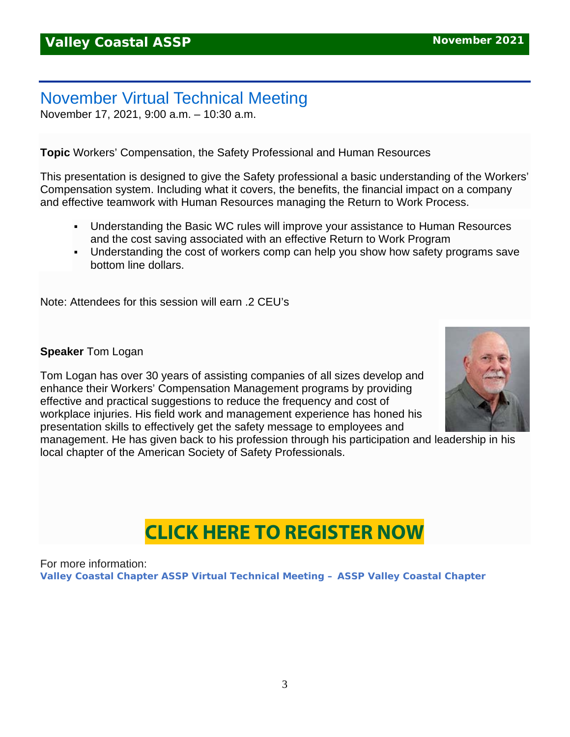## November Virtual Technical Meeting

November 17, 2021, 9:00 a.m. – 10:30 a.m.

**Topic** Workers' Compensation, the Safety Professional and Human Resources

This presentation is designed to give the Safety professional a basic understanding of the Workers' Compensation system. Including what it covers, the benefits, the financial impact on a company and effective teamwork with Human Resources managing the Return to Work Process.

- Understanding the Basic WC rules will improve your assistance to Human Resources and the cost saving associated with an effective Return to Work Program
- Understanding the cost of workers comp can help you show how safety programs save bottom line dollars.

Note: Attendees for this session will earn .2 CEU's

**Speaker** Tom Logan

Tom Logan has over 30 years of assisting companies of all sizes develop and enhance their Workers' Compensation Management programs by providing effective and practical suggestions to reduce the frequency and cost of workplace injuries. His field work and management experience has honed his presentation skills to effectively get the safety message to employees and



management. He has given back to his profession through his participation and leadership in his local chapter of the American Society of Safety Professionals.

## **CLICK HERE TO [REGISTER](https://us02web.zoom.us/meeting/register/tZUvfuGurTIrEtSOrtMeEIMUAYCKLmmB-Zu2) NOW**

For more information: **[Valley Coastal Chapter ASSP Virtual Technical Meeting –](https://valleycoastal.assp.org/events/valley-coastal-chapter-assp-virtual-technical-meeting-9/) ASSP Valley Coastal Chapter**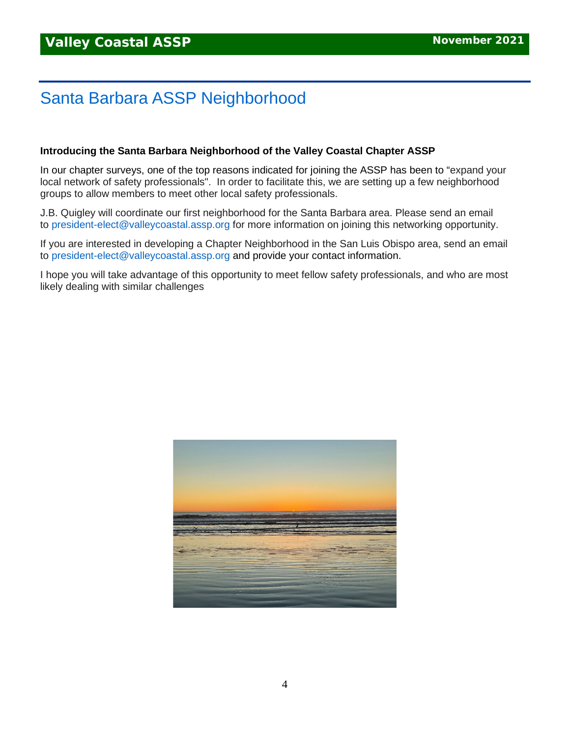## Santa Barbara ASSP Neighborhood

#### **Introducing the Santa Barbara Neighborhood of the Valley Coastal Chapter ASSP**

In our chapter surveys, one of the top reasons indicated for joining the ASSP has been to "expand your local network of safety professionals". In order to facilitate this, we are setting up a few neighborhood groups to allow members to meet other local safety professionals.

J.B. Quigley will coordinate our first neighborhood for the Santa Barbara area. Please send an email to [president-elect@valleycoastal.assp.org](mailto:president-elect@valleycoastal.assp.org) for more information on joining this networking opportunity.

If you are interested in developing a Chapter Neighborhood in the San Luis Obispo area, send an email to [president-elect@valleycoastal.assp.org](mailto:president-elect@valleycoastal.assp.org) and provide your contact information.

I hope you will take advantage of this opportunity to meet fellow safety professionals, and who are most likely dealing with similar challenges

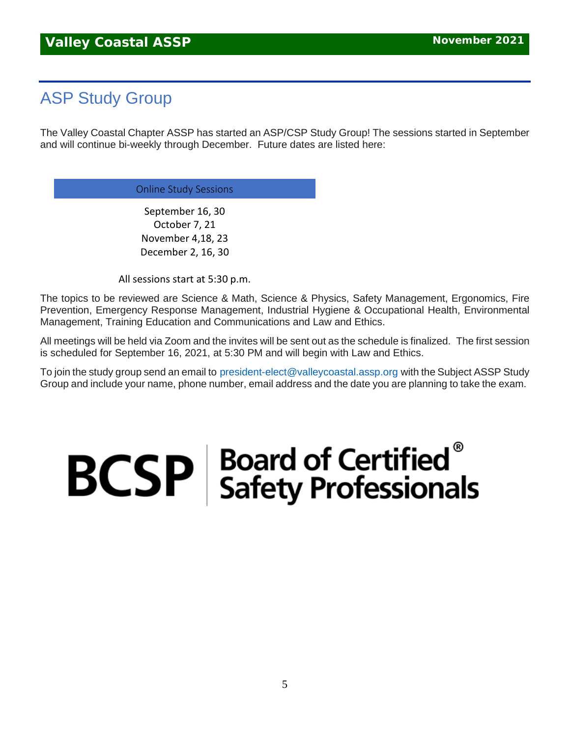## ASP Study Group

The Valley Coastal Chapter ASSP has started an ASP/CSP Study Group! The sessions started in September and will continue bi-weekly through December. Future dates are listed here:

Online Study Sessions

September 16, 30 October 7, 21 November 4,18, 23 December 2, 16, 30

All sessions start at 5:30 p.m.

The topics to be reviewed are Science & Math, Science & Physics, Safety Management, Ergonomics, Fire Prevention, Emergency Response Management, Industrial Hygiene & Occupational Health, Environmental Management, Training Education and Communications and Law and Ethics.

All meetings will be held via Zoom and the invites will be sent out as the schedule is finalized. The first session is scheduled for September 16, 2021, at 5:30 PM and will begin with Law and Ethics.

To join the study group send an email to [president-elect@valleycoastal.assp.org](mailto:president-elect@valleycoastal.assp.org) with the Subject ASSP Study Group and include your name, phone number, email address and the date you are planning to take the exam.

# $\mathbf{BCSP}$  Board of Certified<br>Safety Professionals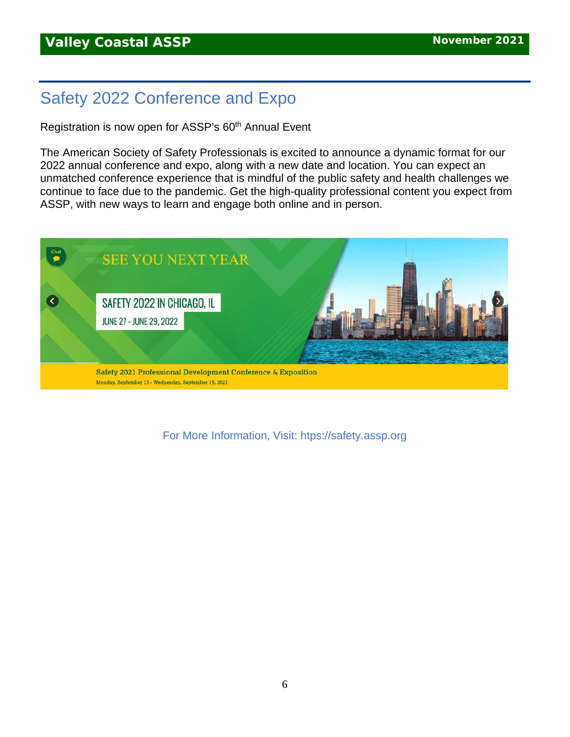## Safety 2022 Conference and Expo

Registration is now open for ASSP's 60<sup>th</sup> Annual Event

The American Society of Safety Professionals is excited to announce a dynamic format for our 2022 annual conference and expo, along with a new date and location. You can expect an unmatched conference experience that is mindful of the public safety and health challenges we continue to face due to the pandemic. Get the high-quality professional content you expect from ASSP, with new ways to learn and engage both online and in person.



For More Information, Visit: htps://safety.assp.org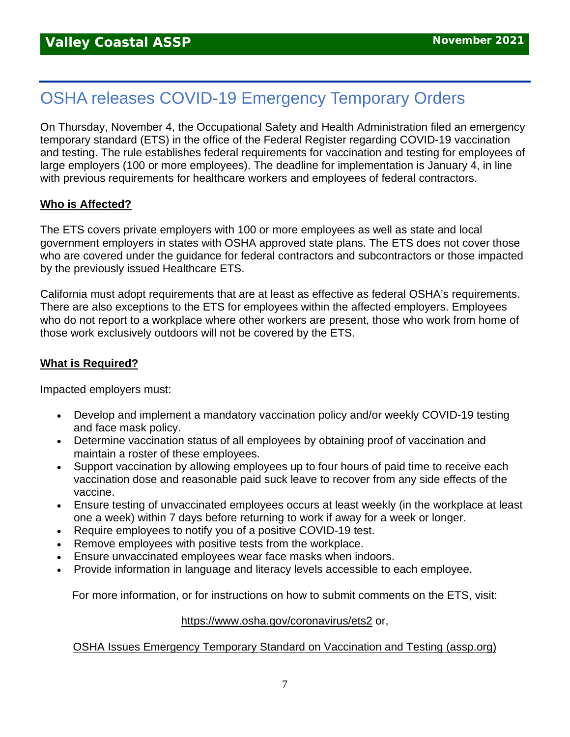## OSHA releases COVID-19 Emergency Temporary Orders

On Thursday, November 4, the Occupational Safety and Health Administration filed an emergency temporary standard (ETS) in the office of the Federal Register regarding COVID-19 vaccination and testing. The rule establishes federal requirements for vaccination and testing for employees of large employers (100 or more employees). The deadline for implementation is January 4, in line with previous requirements for healthcare workers and employees of federal contractors.

#### **Who is Affected?**

The ETS covers private employers with 100 or more employees as well as state and local government employers in states with OSHA approved state plans. The ETS does not cover those who are covered under the guidance for federal contractors and subcontractors or those impacted by the previously issued Healthcare ETS.

California must adopt requirements that are at least as effective as federal OSHA's requirements. There are also exceptions to the ETS for employees within the affected employers. Employees who do not report to a workplace where other workers are present, those who work from home of those work exclusively outdoors will not be covered by the ETS.

#### **What is Required?**

Impacted employers must:

- Develop and implement a mandatory vaccination policy and/or weekly COVID-19 testing and face mask policy.
- Determine vaccination status of all employees by obtaining proof of vaccination and maintain a roster of these employees.
- Support vaccination by allowing employees up to four hours of paid time to receive each vaccination dose and reasonable paid suck leave to recover from any side effects of the vaccine.
- Ensure testing of unvaccinated employees occurs at least weekly (in the workplace at least one a week) within 7 days before returning to work if away for a week or longer.
- Require employees to notify you of a positive COVID-19 test.
- Remove employees with positive tests from the workplace.
- Ensure unvaccinated employees wear face masks when indoors.
- Provide information in language and literacy levels accessible to each employee.

For more information, or for instructions on how to submit comments on the ETS, visit:

#### <https://www.osha.gov/coronavirus/ets2> or,

#### [OSHA Issues Emergency Temporary Standard on Vaccination and Testing \(assp.org\)](https://www.assp.org/news-and-articles/osha-issues-emergency-temporary-standard-on-vaccination-and-testing)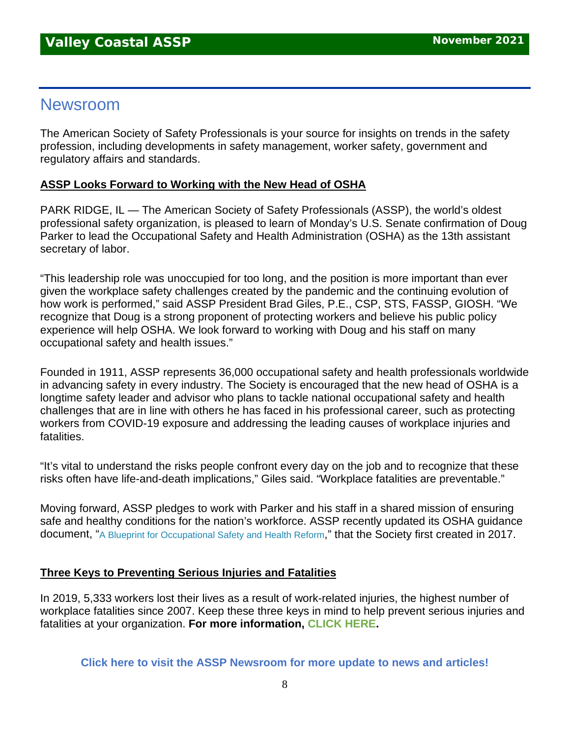## Newsroom

The American Society of Safety Professionals is your source for insights on trends in the safety profession, including developments in safety management, worker safety, government and regulatory affairs and standards.

#### **ASSP Looks Forward to Working with the New Head of OSHA**

PARK RIDGE, IL — The American Society of Safety Professionals (ASSP), the world's oldest professional safety organization, is pleased to learn of Monday's U.S. Senate confirmation of Doug Parker to lead the Occupational Safety and Health Administration (OSHA) as the 13th assistant secretary of labor.

"This leadership role was unoccupied for too long, and the position is more important than ever given the workplace safety challenges created by the pandemic and the continuing evolution of how work is performed," said ASSP President Brad Giles, P.E., CSP, STS, FASSP, GIOSH. "We recognize that Doug is a strong proponent of protecting workers and believe his public policy experience will help OSHA. We look forward to working with Doug and his staff on many occupational safety and health issues."

Founded in 1911, ASSP represents 36,000 occupational safety and health professionals worldwide in advancing safety in every industry. The Society is encouraged that the new head of OSHA is a longtime safety leader and advisor who plans to tackle national occupational safety and health challenges that are in line with others he has faced in his professional career, such as protecting workers from COVID-19 exposure and addressing the leading causes of workplace injuries and fatalities.

"It's vital to understand the risks people confront every day on the job and to recognize that these risks often have life-and-death implications," Giles said. "Workplace fatalities are preventable."

Moving forward, ASSP pledges to work with Parker and his staff in a shared mission of ensuring safe and healthy conditions for the nation's workforce. ASSP recently updated its OSHA guidance document, ["A Blueprint for Occupational Safety and Health Reform,](https://www.assp.org/docs/default-source/default-document-library/osha-blueprint_spring-2021.pdf?sfvrsn=1b0b8547_2)" that the Society first created in 2017.

#### **Three Keys to Preventing Serious Injuries and Fatalities**

In 2019, 5,333 workers lost their lives as a result of work-related injuries, the highest number of workplace fatalities since 2007. Keep these three keys in mind to help prevent serious injuries and fatalities at your organization. **For more information, [CLICK HERE.](https://www.assp.org/news-and-articles/three-keys-to-preventing-serious-injuries-and-fatalities)**

**[Click here to visit the ASSP Newsroom for more update to news and articles!](https://www.assp.org/news-and-articles/oh-the-places-you-can-go-how-volunteering-improves-your-career)**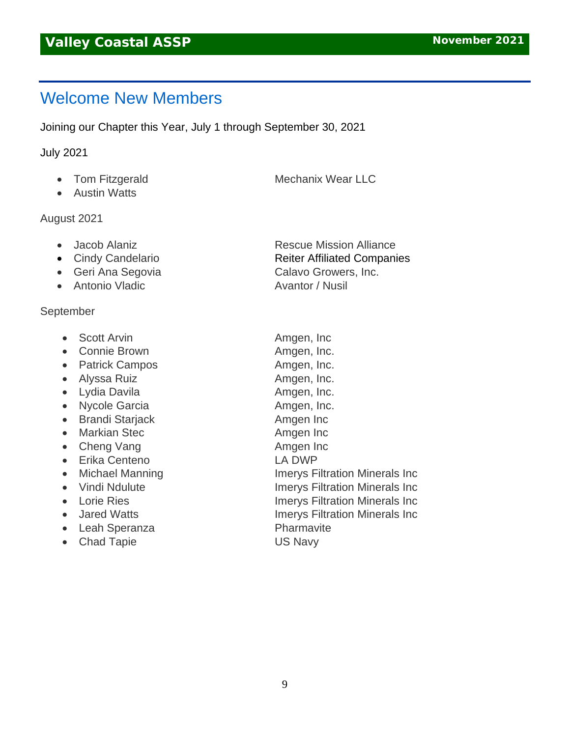## Welcome New Members

Joining our Chapter this Year, July 1 through September 30, 2021

#### July 2021

- Tom Fitzgerald Mechanix Wear LLC
- Austin Watts

#### August 2021

- 
- 
- Geri Ana Segovia **Calavo Growers**, Inc.
- Antonio Vladic **Avantor / Nusil**

#### September

- Scott Arvin **Amgen, Inc.**
- Connie Brown **Amgen, Inc.**
- Patrick Campos **Amgen, Inc.**
- Alyssa Ruiz **Amgen**, Inc.
- Lydia Davila **Amgen**, Inc.
- Nycole Garcia **Amgen, Inc.**
- Brandi Starjack **Amgen Inc**
- Markian Stec **Amgen Inc**
- Cheng Vang Amgen Inc
- Erika Centeno LA DWP
- 
- 
- 
- 
- Leah Speranza Pharmavite
- Chad Tapie **US Navy**

• Jacob Alaniz **Rescue Mission Alliance** • Cindy Candelario **Reiter Affiliated Companies** 

• Michael Manning **Imerys Filtration Minerals Inc** • Vindi Ndulute Imerys Filtration Minerals Inc • Lorie Ries **Imerys Filtration Minerals Inc** • Jared Watts **Imerys Filtration Minerals Inc**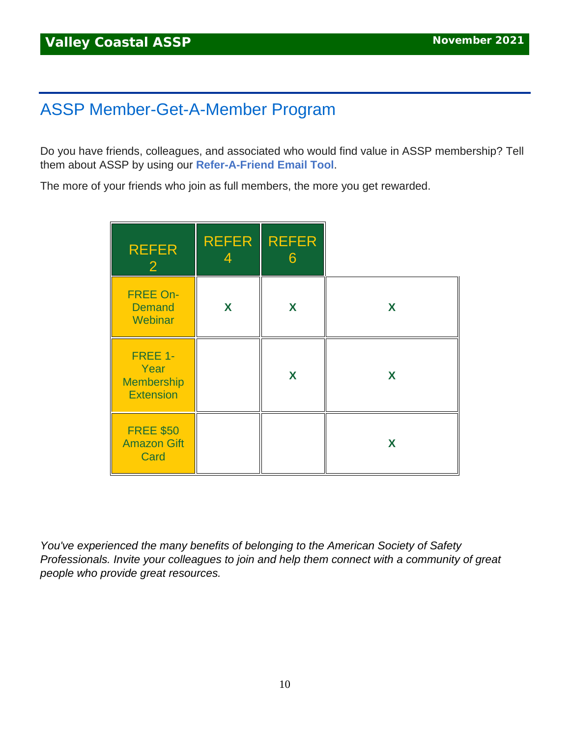## ASSP Member-Get-A-Member Program

Do you have friends, colleagues, and associated who would find value in ASSP membership? Tell them about ASSP by using our **[Refer-A-Friend Email Tool](https://www.assp.org/membership/member-get-a-member)**.

The more of your friends who join as full members, the more you get rewarded.

| <b>REFER</b><br>$\overline{2}$                           | <b>REFER</b> | <b>REFER</b><br>6 |   |
|----------------------------------------------------------|--------------|-------------------|---|
| <b>FREE On-</b><br><b>Demand</b><br>Webinar              | X            | X                 | X |
| FREE 1-<br>Year<br><b>Membership</b><br><b>Extension</b> |              | X                 | X |
| <b>FREE \$50</b><br><b>Amazon Gift</b><br>Card           |              |                   | X |

*You've experienced the many benefits of belonging to the American Society of Safety Professionals. Invite your colleagues to join and help them connect with a community of great people who provide great resources.*